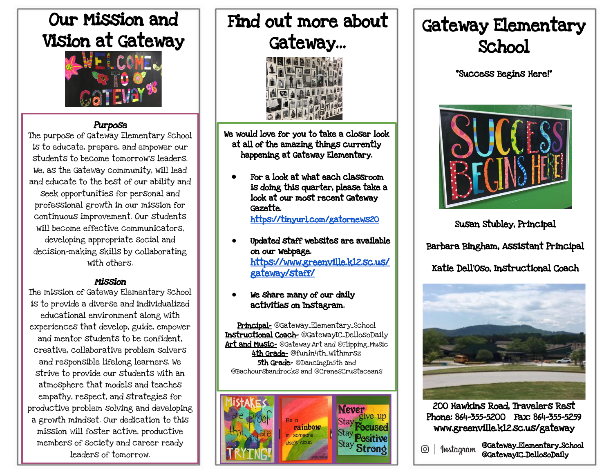## Our Mission and Vision at Gateway



#### Purpose

The purpose of Gateway Elementary School is to educate, prepare, and empower our students to become tomorrow's leaders. We, as the Gateway community, will lead and educate to the best of our ability and seek opportunities for personal and professional growth in our mission for continuous improvement. Our students will become effective communicators. developing appropriate social and decision-making skills by collaborating with others.

#### Mission

The mission of Gateway Elementary School is to provide a diverse and individualized educational environment along with experiences that develop, guide, empower and mentor students to be confident, creative, collaborative problem solvers and responsible lifelong learners. We strive to provide our students with an atmosphere that models and teaches empathy, respect, and strategies for productive problem solving and developing a growth mindset. Our dedication to this mission will foster active, productive members of society and career ready leaders of tomorrow.

# Find out more about Gateway...



We would love for you to take a closer look at all of the amazing things currently happening at Gateway Elementary.

- For a look at what each classroom is doing this quarter, please take a look at our most recent Gateway Gazette. <https://tinyurl.com/gatornews20>
- **●** Updated staff websites are available on our webpage. [https://www.greenville.k12.sc.us/](https://www.greenville.k12.sc.us/gateway/staff/) [gateway/staff/](https://www.greenville.k12.sc.us/gateway/staff/)

#### We share many of our daily activities on Instagram.

Principal- @Gateway\_Elementary\_School Instructional Coach- @GatewayIC\_DellosoDaily Art and Music- @Gateway.Art and @Flipping\_Music 4th Grade- @funin4th\_withmrsz 5th Grade- @DancingIn5th and @Bachoursbandrocks and @CranesCrustaceans



## Gateway Elementary School

"Success Begins Here!"



Susan Stubley, Principal

Barbara Bingham, Assistant Principal

Katie Dell'Oso, Instructional Coach



200 Hawkins Road, Travelers Rest Phone: 864-355-5200 Fax: 864-355-5259 www.greenville.k12.sc.us/gateway

@Gateway\_Elementary\_School @GatewayIC\_DellosoDaily